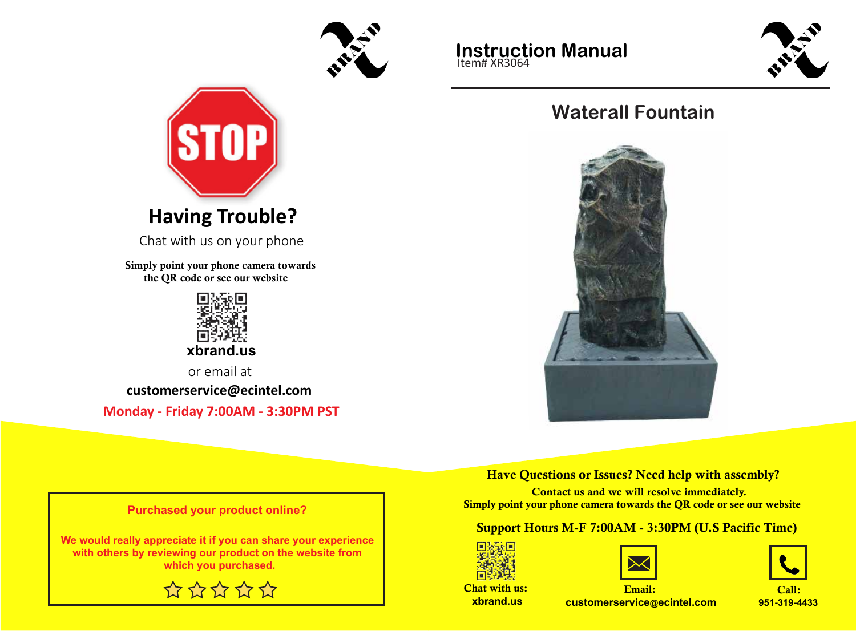



Chat with us on your phone

Simply point your phone camera towards the QR code or see our website



 **xbrand.us**

or email at

**customerservice@ecintel.com**

**Monday - Friday 7:00AM - 3:30PM PST**





# **Waterall Fountain**



Have Questions or Issues? Need help with assembly?

 Contact us and we will resolve immediately. Simply point your phone camera towards the QR code or see our website

#### Support Hours M-F 7:00AM - 3:30PM (U.S Pacific Time)







Chat with us:  **xbrand.us**

Email: **customerservice@ecintel.com**

**951-319-4433**

**Purchased your product online?**

**We would really appreciate it if you can share your experience with others by reviewing our product on the website from which you purchased.**

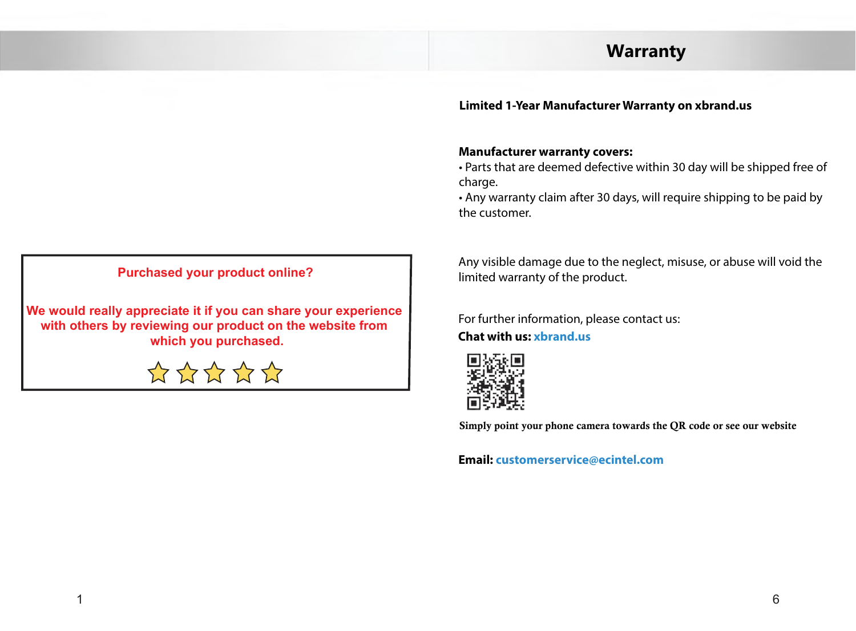### **Warranty**

#### **Limited 1-Year Manufacturer Warranty on xbrand.us**

#### **Manufacturer warranty covers:**

• Parts that are deemed defective within 30 day will be shipped free of charge.

• Any warranty claim after 30 days, will require shipping to be paid by the customer.

**Purchased your product online?**

**We would really appreciate it if you can share your experience with others by reviewing our product on the website from which you purchased.**



Any visible damage due to the neglect, misuse, or abuse will void the limited warranty of the product.

For further information, please contact us:

**Chat with us: xbrand.us**



Simply point your phone camera towards Simply point your phone camera towards the QR code or see our website $\mathbf{r}$  and  $\mathbf{r}$  or see or see or see or see or see or see or  $\mathbf{r}$ 

**Email: customerservice@ecintel.com**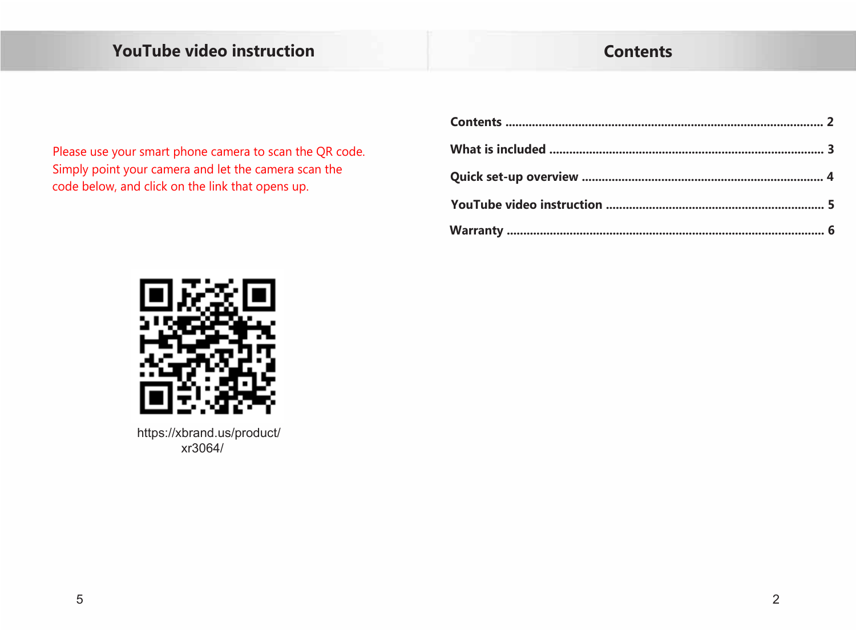# YouTube video instruction

## **Contents**

Please use your smart phone camera to scan the QR code. Simply point your camera and let the camera scan the code below, and click on the link that opens up.



https://xbrand.us/product/ xr3064/